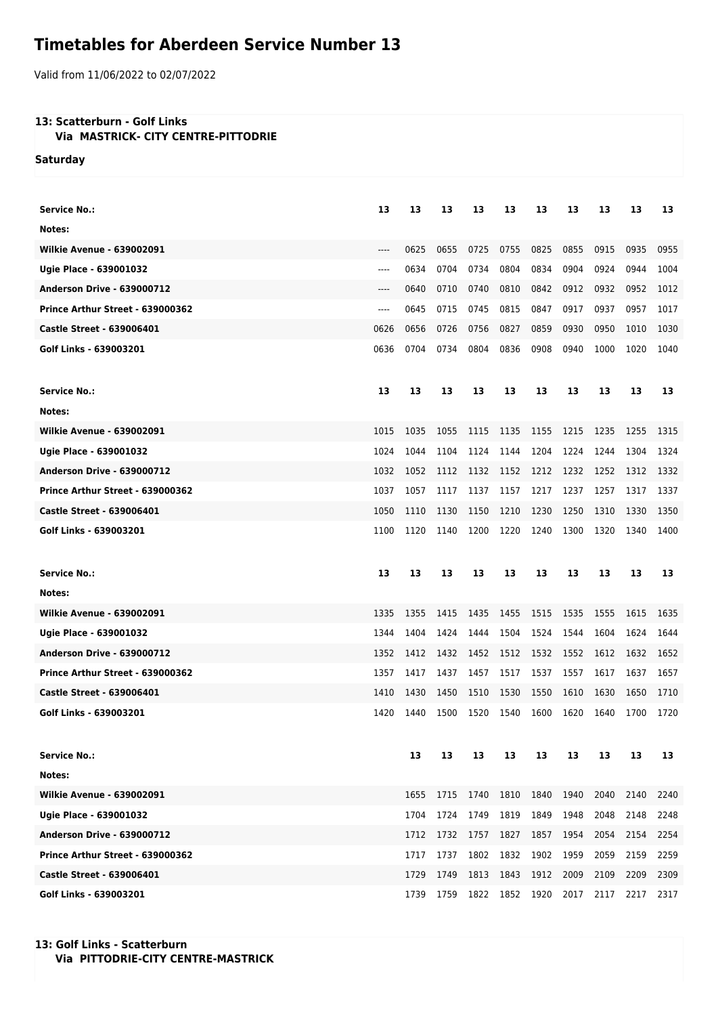## **Timetables for Aberdeen Service Number 13**

Valid from 11/06/2022 to 02/07/2022

## **13: Scatterburn - Golf Links**

 **Via MASTRICK- CITY CENTRE-PITTODRIE**

**Saturday**

| <b>Service No.:</b>               | 13    | 13   | 13   | 13   | 13   | 13   | 13   | 13   | 13   | 13   |
|-----------------------------------|-------|------|------|------|------|------|------|------|------|------|
| Notes:                            |       |      |      |      |      |      |      |      |      |      |
| <b>Wilkie Avenue - 639002091</b>  | $---$ | 0625 | 0655 | 0725 | 0755 | 0825 | 0855 | 0915 | 0935 | 0955 |
| Ugie Place - 639001032            | $---$ | 0634 | 0704 | 0734 | 0804 | 0834 | 0904 | 0924 | 0944 | 1004 |
| <b>Anderson Drive - 639000712</b> | $---$ | 0640 | 0710 | 0740 | 0810 | 0842 | 0912 | 0932 | 0952 | 1012 |
| Prince Arthur Street - 639000362  | $---$ | 0645 | 0715 | 0745 | 0815 | 0847 | 0917 | 0937 | 0957 | 1017 |
| <b>Castle Street - 639006401</b>  | 0626  | 0656 | 0726 | 0756 | 0827 | 0859 | 0930 | 0950 | 1010 | 1030 |
| Golf Links - 639003201            | 0636  | 0704 | 0734 | 0804 | 0836 | 0908 | 0940 | 1000 | 1020 | 1040 |
| <b>Service No.:</b>               | 13    | 13   | 13   | 13   | 13   | 13   | 13   | 13   | 13   | 13   |
| Notes:                            |       |      |      |      |      |      |      |      |      |      |
| <b>Wilkie Avenue - 639002091</b>  | 1015  | 1035 | 1055 | 1115 | 1135 | 1155 | 1215 | 1235 | 1255 | 1315 |
| Ugie Place - 639001032            | 1024  | 1044 | 1104 | 1124 | 1144 | 1204 | 1224 | 1244 | 1304 | 1324 |
| <b>Anderson Drive - 639000712</b> | 1032  | 1052 | 1112 | 1132 | 1152 | 1212 | 1232 | 1252 | 1312 | 1332 |
| Prince Arthur Street - 639000362  | 1037  | 1057 | 1117 | 1137 | 1157 | 1217 | 1237 | 1257 | 1317 | 1337 |
| <b>Castle Street - 639006401</b>  | 1050  | 1110 | 1130 | 1150 | 1210 | 1230 | 1250 | 1310 | 1330 | 1350 |
| Golf Links - 639003201            | 1100  | 1120 | 1140 | 1200 | 1220 | 1240 | 1300 | 1320 | 1340 | 1400 |
|                                   |       |      |      |      |      |      |      |      |      |      |
| <b>Service No.:</b>               | 13    | 13   | 13   | 13   | 13   | 13   | 13   | 13   | 13   | 13   |
| Notes:                            |       |      |      |      |      |      |      |      |      |      |
| <b>Wilkie Avenue - 639002091</b>  | 1335  | 1355 | 1415 | 1435 | 1455 | 1515 | 1535 | 1555 | 1615 | 1635 |
| Ugie Place - 639001032            | 1344  | 1404 | 1424 | 1444 | 1504 | 1524 | 1544 | 1604 | 1624 | 1644 |
| <b>Anderson Drive - 639000712</b> | 1352  | 1412 | 1432 | 1452 | 1512 | 1532 | 1552 | 1612 | 1632 | 1652 |
| Prince Arthur Street - 639000362  | 1357  | 1417 | 1437 | 1457 | 1517 | 1537 | 1557 | 1617 | 1637 | 1657 |
| <b>Castle Street - 639006401</b>  | 1410  | 1430 | 1450 | 1510 | 1530 | 1550 | 1610 | 1630 | 1650 | 1710 |
| Golf Links - 639003201            | 1420  | 1440 | 1500 | 1520 | 1540 | 1600 | 1620 | 1640 | 1700 | 1720 |
| <b>Service No.:</b>               |       | 13   | 13   | 13   | 13   | 13   | 13   | 13   | 13   | 13   |
| Notes:                            |       |      |      |      |      |      |      |      |      |      |
| <b>Wilkie Avenue - 639002091</b>  |       | 1655 | 1715 | 1740 | 1810 | 1840 | 1940 | 2040 | 2140 | 2240 |
| Ugie Place - 639001032            |       | 1704 | 1724 | 1749 | 1819 | 1849 | 1948 | 2048 | 2148 | 2248 |
| <b>Anderson Drive - 639000712</b> |       | 1712 | 1732 | 1757 | 1827 | 1857 | 1954 | 2054 | 2154 | 2254 |
| Prince Arthur Street - 639000362  |       | 1717 | 1737 | 1802 | 1832 | 1902 | 1959 | 2059 | 2159 | 2259 |
| <b>Castle Street - 639006401</b>  |       | 1729 | 1749 | 1813 | 1843 | 1912 | 2009 | 2109 | 2209 | 2309 |